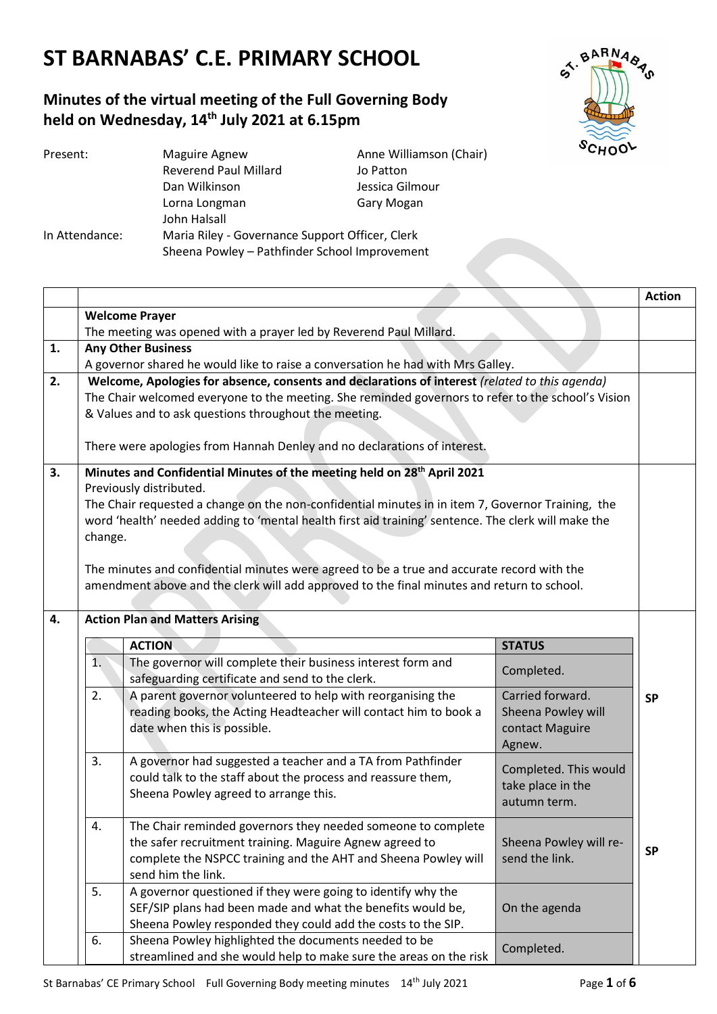## **ST BARNABAS' C.E. PRIMARY SCHOOL**

### **Minutes of the virtual meeting of the Full Governing Body held on Wednesday, 14th July 2021 at 6.15pm**



| Present:       | Anne Williamson (Chair)<br>Maguire Agnew        |                 |  |
|----------------|-------------------------------------------------|-----------------|--|
|                | <b>Reverend Paul Millard</b>                    | Jo Patton       |  |
|                | Dan Wilkinson                                   | Jessica Gilmour |  |
|                | Lorna Longman                                   | Gary Mogan      |  |
|                | John Halsall                                    |                 |  |
| In Attendance: | Maria Riley - Governance Support Officer, Clerk |                 |  |
|                | Sheena Powley - Pathfinder School Improvement   |                 |  |

|    |                                                                                                                                                                                                                                                                                                                                       |                                                                                                                                                                                                                 |                                                                     | <b>Action</b> |
|----|---------------------------------------------------------------------------------------------------------------------------------------------------------------------------------------------------------------------------------------------------------------------------------------------------------------------------------------|-----------------------------------------------------------------------------------------------------------------------------------------------------------------------------------------------------------------|---------------------------------------------------------------------|---------------|
|    | <b>Welcome Prayer</b>                                                                                                                                                                                                                                                                                                                 |                                                                                                                                                                                                                 |                                                                     |               |
|    |                                                                                                                                                                                                                                                                                                                                       | The meeting was opened with a prayer led by Reverend Paul Millard.                                                                                                                                              |                                                                     |               |
| 1. | <b>Any Other Business</b><br>A governor shared he would like to raise a conversation he had with Mrs Galley.                                                                                                                                                                                                                          |                                                                                                                                                                                                                 |                                                                     |               |
| 2. |                                                                                                                                                                                                                                                                                                                                       | Welcome, Apologies for absence, consents and declarations of interest (related to this agenda)                                                                                                                  |                                                                     |               |
|    | The Chair welcomed everyone to the meeting. She reminded governors to refer to the school's Vision<br>& Values and to ask questions throughout the meeting.                                                                                                                                                                           |                                                                                                                                                                                                                 |                                                                     |               |
|    | There were apologies from Hannah Denley and no declarations of interest.                                                                                                                                                                                                                                                              |                                                                                                                                                                                                                 |                                                                     |               |
| 3. | Minutes and Confidential Minutes of the meeting held on 28 <sup>th</sup> April 2021<br>Previously distributed.<br>The Chair requested a change on the non-confidential minutes in in item 7, Governor Training, the<br>word 'health' needed adding to 'mental health first aid training' sentence. The clerk will make the<br>change. |                                                                                                                                                                                                                 |                                                                     |               |
|    |                                                                                                                                                                                                                                                                                                                                       | The minutes and confidential minutes were agreed to be a true and accurate record with the<br>amendment above and the clerk will add approved to the final minutes and return to school.                        |                                                                     |               |
| 4. | <b>Action Plan and Matters Arising</b>                                                                                                                                                                                                                                                                                                |                                                                                                                                                                                                                 |                                                                     |               |
|    |                                                                                                                                                                                                                                                                                                                                       | <b>ACTION</b>                                                                                                                                                                                                   | <b>STATUS</b>                                                       |               |
|    | 1.                                                                                                                                                                                                                                                                                                                                    | The governor will complete their business interest form and<br>safeguarding certificate and send to the clerk.                                                                                                  | Completed.                                                          |               |
|    | 2.                                                                                                                                                                                                                                                                                                                                    | A parent governor volunteered to help with reorganising the<br>reading books, the Acting Headteacher will contact him to book a<br>date when this is possible.                                                  | Carried forward.<br>Sheena Powley will<br>contact Maguire<br>Agnew. | <b>SP</b>     |
|    | 3.                                                                                                                                                                                                                                                                                                                                    | A governor had suggested a teacher and a TA from Pathfinder<br>could talk to the staff about the process and reassure them,<br>Sheena Powley agreed to arrange this.                                            | Completed. This would<br>take place in the<br>autumn term.          |               |
|    | 4.                                                                                                                                                                                                                                                                                                                                    | The Chair reminded governors they needed someone to complete<br>the safer recruitment training. Maguire Agnew agreed to<br>complete the NSPCC training and the AHT and Sheena Powley will<br>send him the link. | Sheena Powley will re-<br>send the link.                            | <b>SP</b>     |
|    | 5.                                                                                                                                                                                                                                                                                                                                    | A governor questioned if they were going to identify why the<br>SEF/SIP plans had been made and what the benefits would be,<br>Sheena Powley responded they could add the costs to the SIP.                     | On the agenda                                                       |               |
|    | 6.                                                                                                                                                                                                                                                                                                                                    | Sheena Powley highlighted the documents needed to be<br>streamlined and she would help to make sure the areas on the risk                                                                                       | Completed.                                                          |               |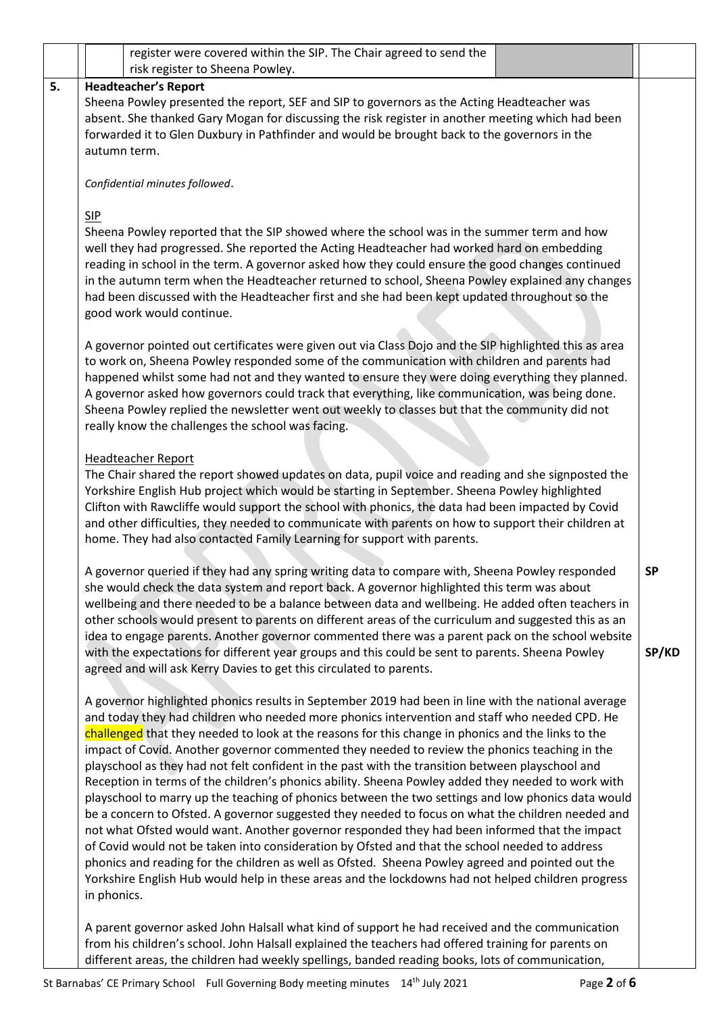|    | register were covered within the SIP. The Chair agreed to send the<br>risk register to Sheena Powley.                                                                                                                                                                                                                                                                                                                                                                                                                                                                                                                                                                                                                                                                                                                                                                                                                                                                                                                                                                                                                                                                                                                                                        |                    |
|----|--------------------------------------------------------------------------------------------------------------------------------------------------------------------------------------------------------------------------------------------------------------------------------------------------------------------------------------------------------------------------------------------------------------------------------------------------------------------------------------------------------------------------------------------------------------------------------------------------------------------------------------------------------------------------------------------------------------------------------------------------------------------------------------------------------------------------------------------------------------------------------------------------------------------------------------------------------------------------------------------------------------------------------------------------------------------------------------------------------------------------------------------------------------------------------------------------------------------------------------------------------------|--------------------|
| 5. | <b>Headteacher's Report</b>                                                                                                                                                                                                                                                                                                                                                                                                                                                                                                                                                                                                                                                                                                                                                                                                                                                                                                                                                                                                                                                                                                                                                                                                                                  |                    |
|    | Sheena Powley presented the report, SEF and SIP to governors as the Acting Headteacher was<br>absent. She thanked Gary Mogan for discussing the risk register in another meeting which had been<br>forwarded it to Glen Duxbury in Pathfinder and would be brought back to the governors in the<br>autumn term.                                                                                                                                                                                                                                                                                                                                                                                                                                                                                                                                                                                                                                                                                                                                                                                                                                                                                                                                              |                    |
|    | Confidential minutes followed.                                                                                                                                                                                                                                                                                                                                                                                                                                                                                                                                                                                                                                                                                                                                                                                                                                                                                                                                                                                                                                                                                                                                                                                                                               |                    |
|    | SIP<br>Sheena Powley reported that the SIP showed where the school was in the summer term and how<br>well they had progressed. She reported the Acting Headteacher had worked hard on embedding<br>reading in school in the term. A governor asked how they could ensure the good changes continued<br>in the autumn term when the Headteacher returned to school, Sheena Powley explained any changes<br>had been discussed with the Headteacher first and she had been kept updated throughout so the<br>good work would continue.                                                                                                                                                                                                                                                                                                                                                                                                                                                                                                                                                                                                                                                                                                                         |                    |
|    | A governor pointed out certificates were given out via Class Dojo and the SIP highlighted this as area<br>to work on, Sheena Powley responded some of the communication with children and parents had<br>happened whilst some had not and they wanted to ensure they were doing everything they planned.<br>A governor asked how governors could track that everything, like communication, was being done.<br>Sheena Powley replied the newsletter went out weekly to classes but that the community did not<br>really know the challenges the school was facing.                                                                                                                                                                                                                                                                                                                                                                                                                                                                                                                                                                                                                                                                                           |                    |
|    | <b>Headteacher Report</b><br>The Chair shared the report showed updates on data, pupil voice and reading and she signposted the<br>Yorkshire English Hub project which would be starting in September. Sheena Powley highlighted<br>Clifton with Rawcliffe would support the school with phonics, the data had been impacted by Covid<br>and other difficulties, they needed to communicate with parents on how to support their children at<br>home. They had also contacted Family Learning for support with parents.                                                                                                                                                                                                                                                                                                                                                                                                                                                                                                                                                                                                                                                                                                                                      |                    |
|    | A governor queried if they had any spring writing data to compare with, Sheena Powley responded<br>she would check the data system and report back. A governor highlighted this term was about<br>wellbeing and there needed to be a balance between data and wellbeing. He added often teachers in<br>other schools would present to parents on different areas of the curriculum and suggested this as an<br>idea to engage parents. Another governor commented there was a parent pack on the school website<br>with the expectations for different year groups and this could be sent to parents. Sheena Powley<br>agreed and will ask Kerry Davies to get this circulated to parents.                                                                                                                                                                                                                                                                                                                                                                                                                                                                                                                                                                   | <b>SP</b><br>SP/KD |
|    | A governor highlighted phonics results in September 2019 had been in line with the national average<br>and today they had children who needed more phonics intervention and staff who needed CPD. He<br>challenged that they needed to look at the reasons for this change in phonics and the links to the<br>impact of Covid. Another governor commented they needed to review the phonics teaching in the<br>playschool as they had not felt confident in the past with the transition between playschool and<br>Reception in terms of the children's phonics ability. Sheena Powley added they needed to work with<br>playschool to marry up the teaching of phonics between the two settings and low phonics data would<br>be a concern to Ofsted. A governor suggested they needed to focus on what the children needed and<br>not what Ofsted would want. Another governor responded they had been informed that the impact<br>of Covid would not be taken into consideration by Ofsted and that the school needed to address<br>phonics and reading for the children as well as Ofsted. Sheena Powley agreed and pointed out the<br>Yorkshire English Hub would help in these areas and the lockdowns had not helped children progress<br>in phonics. |                    |
|    | A parent governor asked John Halsall what kind of support he had received and the communication<br>from his children's school. John Halsall explained the teachers had offered training for parents on                                                                                                                                                                                                                                                                                                                                                                                                                                                                                                                                                                                                                                                                                                                                                                                                                                                                                                                                                                                                                                                       |                    |

different areas, the children had weekly spellings, banded reading books, lots of communication,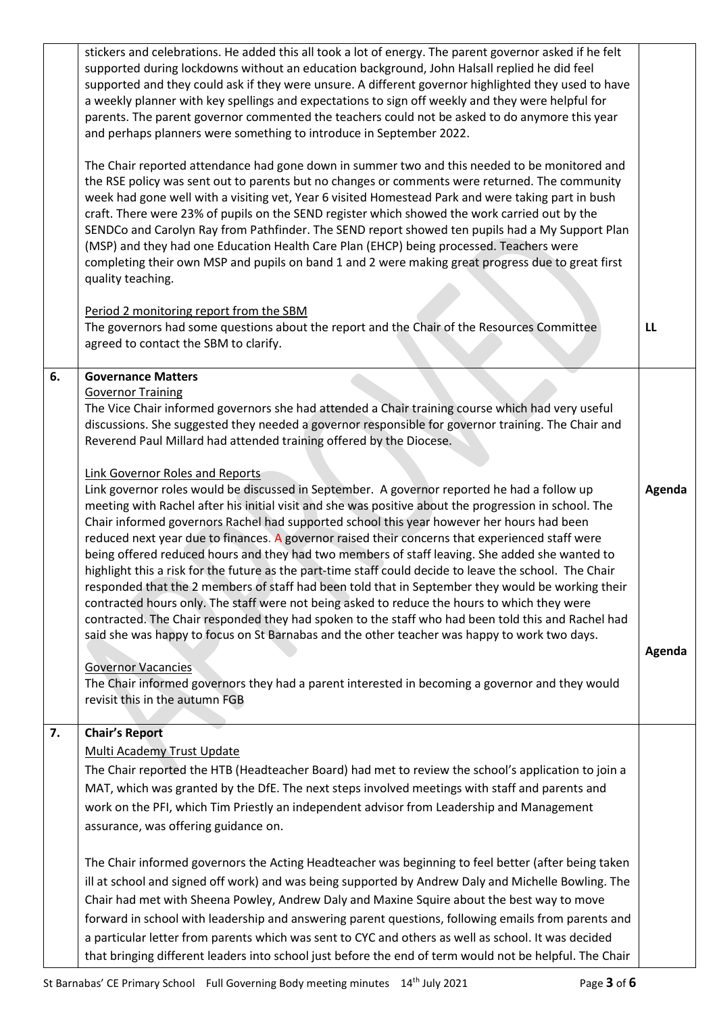|    | stickers and celebrations. He added this all took a lot of energy. The parent governor asked if he felt<br>supported during lockdowns without an education background, John Halsall replied he did feel<br>supported and they could ask if they were unsure. A different governor highlighted they used to have<br>a weekly planner with key spellings and expectations to sign off weekly and they were helpful for<br>parents. The parent governor commented the teachers could not be asked to do anymore this year<br>and perhaps planners were something to introduce in September 2022.<br>The Chair reported attendance had gone down in summer two and this needed to be monitored and<br>the RSE policy was sent out to parents but no changes or comments were returned. The community<br>week had gone well with a visiting vet, Year 6 visited Homestead Park and were taking part in bush<br>craft. There were 23% of pupils on the SEND register which showed the work carried out by the<br>SENDCo and Carolyn Ray from Pathfinder. The SEND report showed ten pupils had a My Support Plan<br>(MSP) and they had one Education Health Care Plan (EHCP) being processed. Teachers were<br>completing their own MSP and pupils on band 1 and 2 were making great progress due to great first<br>quality teaching.                                                                                                                                                                                                                                                    |                  |
|----|------------------------------------------------------------------------------------------------------------------------------------------------------------------------------------------------------------------------------------------------------------------------------------------------------------------------------------------------------------------------------------------------------------------------------------------------------------------------------------------------------------------------------------------------------------------------------------------------------------------------------------------------------------------------------------------------------------------------------------------------------------------------------------------------------------------------------------------------------------------------------------------------------------------------------------------------------------------------------------------------------------------------------------------------------------------------------------------------------------------------------------------------------------------------------------------------------------------------------------------------------------------------------------------------------------------------------------------------------------------------------------------------------------------------------------------------------------------------------------------------------------------------------------------------------------------------------------|------------------|
|    | Period 2 monitoring report from the SBM<br>The governors had some questions about the report and the Chair of the Resources Committee<br>agreed to contact the SBM to clarify.                                                                                                                                                                                                                                                                                                                                                                                                                                                                                                                                                                                                                                                                                                                                                                                                                                                                                                                                                                                                                                                                                                                                                                                                                                                                                                                                                                                                     | LL               |
| 6. | <b>Governance Matters</b><br><b>Governor Training</b><br>The Vice Chair informed governors she had attended a Chair training course which had very useful<br>discussions. She suggested they needed a governor responsible for governor training. The Chair and<br>Reverend Paul Millard had attended training offered by the Diocese.<br><b>Link Governor Roles and Reports</b><br>Link governor roles would be discussed in September. A governor reported he had a follow up<br>meeting with Rachel after his initial visit and she was positive about the progression in school. The<br>Chair informed governors Rachel had supported school this year however her hours had been<br>reduced next year due to finances. A governor raised their concerns that experienced staff were<br>being offered reduced hours and they had two members of staff leaving. She added she wanted to<br>highlight this a risk for the future as the part-time staff could decide to leave the school. The Chair<br>responded that the 2 members of staff had been told that in September they would be working their<br>contracted hours only. The staff were not being asked to reduce the hours to which they were<br>contracted. The Chair responded they had spoken to the staff who had been told this and Rachel had<br>said she was happy to focus on St Barnabas and the other teacher was happy to work two days.<br><b>Governor Vacancies</b><br>The Chair informed governors they had a parent interested in becoming a governor and they would<br>revisit this in the autumn FGB | Agenda<br>Agenda |
| 7. | <b>Chair's Report</b><br><b>Multi Academy Trust Update</b><br>The Chair reported the HTB (Headteacher Board) had met to review the school's application to join a<br>MAT, which was granted by the DfE. The next steps involved meetings with staff and parents and<br>work on the PFI, which Tim Priestly an independent advisor from Leadership and Management<br>assurance, was offering guidance on.<br>The Chair informed governors the Acting Headteacher was beginning to feel better (after being taken<br>ill at school and signed off work) and was being supported by Andrew Daly and Michelle Bowling. The<br>Chair had met with Sheena Powley, Andrew Daly and Maxine Squire about the best way to move<br>forward in school with leadership and answering parent questions, following emails from parents and<br>a particular letter from parents which was sent to CYC and others as well as school. It was decided<br>that bringing different leaders into school just before the end of term would not be helpful. The Chair                                                                                                                                                                                                                                                                                                                                                                                                                                                                                                                                      |                  |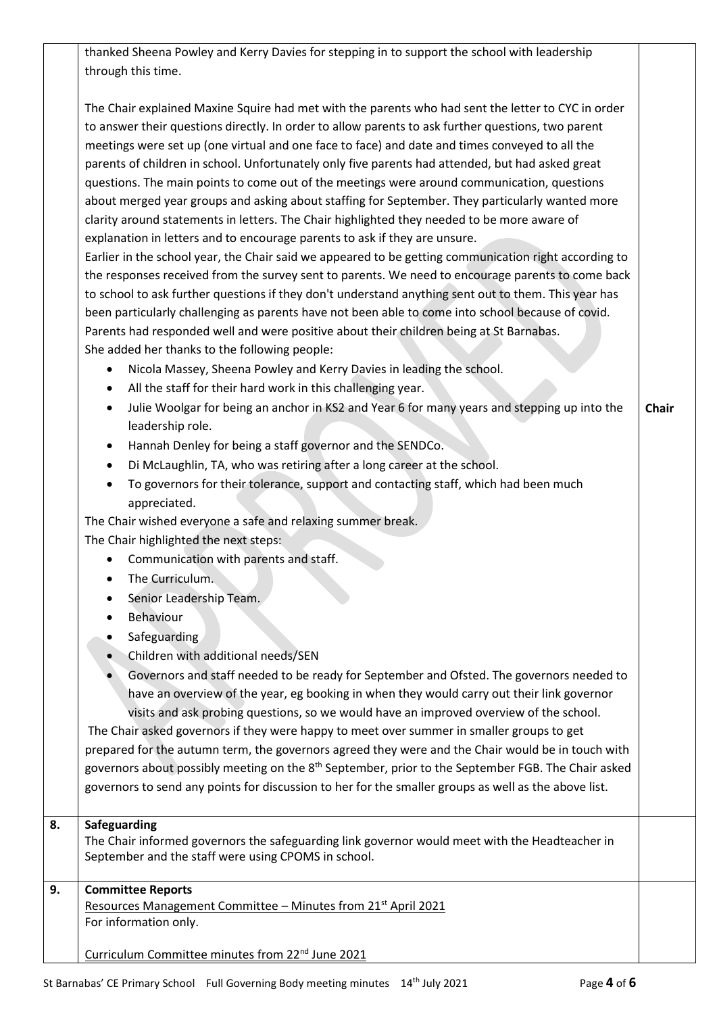|    | thanked Sheena Powley and Kerry Davies for stepping in to support the school with leadership<br>through this time.                                                                                                                                                                                                                                                                                                                                                                                                                                                                                                                                                                                                                                                                                                                                                                                                                                                                                                                                                                                                                                                                                                                                                                                                                                                                                                                                                                                                                                                                                                                                                                                                                                                                                                                                                                                                                                                                                                                                                                                                                                                                                                                                                                                                                                                                                                                                                             |              |
|----|--------------------------------------------------------------------------------------------------------------------------------------------------------------------------------------------------------------------------------------------------------------------------------------------------------------------------------------------------------------------------------------------------------------------------------------------------------------------------------------------------------------------------------------------------------------------------------------------------------------------------------------------------------------------------------------------------------------------------------------------------------------------------------------------------------------------------------------------------------------------------------------------------------------------------------------------------------------------------------------------------------------------------------------------------------------------------------------------------------------------------------------------------------------------------------------------------------------------------------------------------------------------------------------------------------------------------------------------------------------------------------------------------------------------------------------------------------------------------------------------------------------------------------------------------------------------------------------------------------------------------------------------------------------------------------------------------------------------------------------------------------------------------------------------------------------------------------------------------------------------------------------------------------------------------------------------------------------------------------------------------------------------------------------------------------------------------------------------------------------------------------------------------------------------------------------------------------------------------------------------------------------------------------------------------------------------------------------------------------------------------------------------------------------------------------------------------------------------------------|--------------|
|    | The Chair explained Maxine Squire had met with the parents who had sent the letter to CYC in order<br>to answer their questions directly. In order to allow parents to ask further questions, two parent<br>meetings were set up (one virtual and one face to face) and date and times conveyed to all the<br>parents of children in school. Unfortunately only five parents had attended, but had asked great<br>questions. The main points to come out of the meetings were around communication, questions<br>about merged year groups and asking about staffing for September. They particularly wanted more<br>clarity around statements in letters. The Chair highlighted they needed to be more aware of<br>explanation in letters and to encourage parents to ask if they are unsure.<br>Earlier in the school year, the Chair said we appeared to be getting communication right according to<br>the responses received from the survey sent to parents. We need to encourage parents to come back<br>to school to ask further questions if they don't understand anything sent out to them. This year has<br>been particularly challenging as parents have not been able to come into school because of covid.<br>Parents had responded well and were positive about their children being at St Barnabas.<br>She added her thanks to the following people:<br>Nicola Massey, Sheena Powley and Kerry Davies in leading the school.<br>$\bullet$<br>All the staff for their hard work in this challenging year.<br>Julie Woolgar for being an anchor in KS2 and Year 6 for many years and stepping up into the<br>$\bullet$<br>leadership role.<br>Hannah Denley for being a staff governor and the SENDCo.<br>$\bullet$<br>Di McLaughlin, TA, who was retiring after a long career at the school.<br>To governors for their tolerance, support and contacting staff, which had been much<br>appreciated.<br>The Chair wished everyone a safe and relaxing summer break.<br>The Chair highlighted the next steps:<br>Communication with parents and staff.<br>The Curriculum.<br>Senior Leadership Team.<br><b>Behaviour</b><br>Safeguarding<br>Children with additional needs/SEN<br>Governors and staff needed to be ready for September and Ofsted. The governors needed to<br>have an overview of the year, eg booking in when they would carry out their link governor<br>visits and ask probing questions, so we would have an improved overview of the school. | <b>Chair</b> |
|    | The Chair asked governors if they were happy to meet over summer in smaller groups to get<br>prepared for the autumn term, the governors agreed they were and the Chair would be in touch with<br>governors about possibly meeting on the 8 <sup>th</sup> September, prior to the September FGB. The Chair asked<br>governors to send any points for discussion to her for the smaller groups as well as the above list.                                                                                                                                                                                                                                                                                                                                                                                                                                                                                                                                                                                                                                                                                                                                                                                                                                                                                                                                                                                                                                                                                                                                                                                                                                                                                                                                                                                                                                                                                                                                                                                                                                                                                                                                                                                                                                                                                                                                                                                                                                                       |              |
| 8. | Safeguarding<br>The Chair informed governors the safeguarding link governor would meet with the Headteacher in<br>September and the staff were using CPOMS in school.                                                                                                                                                                                                                                                                                                                                                                                                                                                                                                                                                                                                                                                                                                                                                                                                                                                                                                                                                                                                                                                                                                                                                                                                                                                                                                                                                                                                                                                                                                                                                                                                                                                                                                                                                                                                                                                                                                                                                                                                                                                                                                                                                                                                                                                                                                          |              |
| 9. | <b>Committee Reports</b><br>Resources Management Committee - Minutes from 21 <sup>st</sup> April 2021<br>For information only.                                                                                                                                                                                                                                                                                                                                                                                                                                                                                                                                                                                                                                                                                                                                                                                                                                                                                                                                                                                                                                                                                                                                                                                                                                                                                                                                                                                                                                                                                                                                                                                                                                                                                                                                                                                                                                                                                                                                                                                                                                                                                                                                                                                                                                                                                                                                                 |              |
|    | Curriculum Committee minutes from 22 <sup>nd</sup> June 2021                                                                                                                                                                                                                                                                                                                                                                                                                                                                                                                                                                                                                                                                                                                                                                                                                                                                                                                                                                                                                                                                                                                                                                                                                                                                                                                                                                                                                                                                                                                                                                                                                                                                                                                                                                                                                                                                                                                                                                                                                                                                                                                                                                                                                                                                                                                                                                                                                   |              |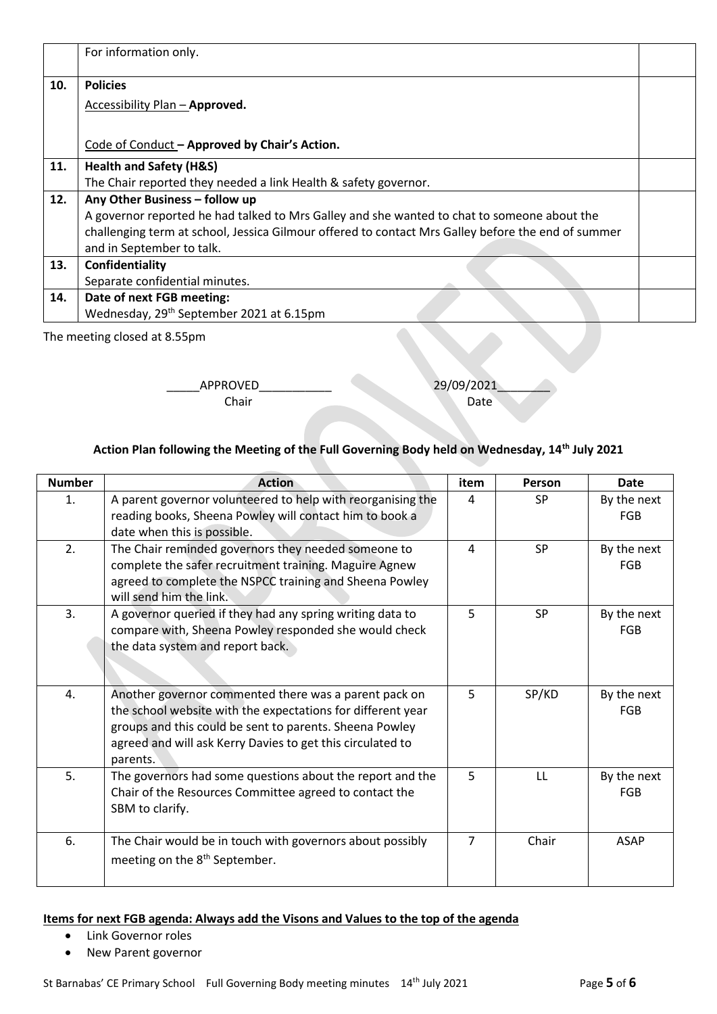|     | For information only.                                                                              |  |
|-----|----------------------------------------------------------------------------------------------------|--|
| 10. | <b>Policies</b>                                                                                    |  |
|     | <b>Accessibility Plan - Approved.</b>                                                              |  |
|     |                                                                                                    |  |
|     | Code of Conduct - Approved by Chair's Action.                                                      |  |
| 11. | <b>Health and Safety (H&amp;S)</b>                                                                 |  |
|     | The Chair reported they needed a link Health & safety governor.                                    |  |
| 12. | Any Other Business - follow up                                                                     |  |
|     | A governor reported he had talked to Mrs Galley and she wanted to chat to someone about the        |  |
|     | challenging term at school, Jessica Gilmour offered to contact Mrs Galley before the end of summer |  |
|     | and in September to talk.                                                                          |  |
| 13. | Confidentiality                                                                                    |  |
|     | Separate confidential minutes.                                                                     |  |
| 14. | Date of next FGB meeting:                                                                          |  |
|     | Wednesday, 29 <sup>th</sup> September 2021 at 6.15pm                                               |  |

The meeting closed at 8.55pm

\_\_\_\_\_APPROVED\_\_\_\_\_\_\_\_\_\_\_ 29/09/2021\_\_\_\_\_\_\_\_

# **Chair** Date

### **Action Plan following the Meeting of the Full Governing Body held on Wednesday, 14th July 2021**

| <b>Number</b> | <b>Action</b>                                                                                                                                                                                                                                             | item           | Person    | <b>Date</b>               |
|---------------|-----------------------------------------------------------------------------------------------------------------------------------------------------------------------------------------------------------------------------------------------------------|----------------|-----------|---------------------------|
| 1.            | A parent governor volunteered to help with reorganising the<br>reading books, Sheena Powley will contact him to book a<br>date when this is possible.                                                                                                     | 4              | <b>SP</b> | By the next<br><b>FGB</b> |
| 2.            | The Chair reminded governors they needed someone to<br>complete the safer recruitment training. Maguire Agnew<br>agreed to complete the NSPCC training and Sheena Powley<br>will send him the link.                                                       | 4              | <b>SP</b> | By the next<br><b>FGB</b> |
| 3.            | A governor queried if they had any spring writing data to<br>compare with, Sheena Powley responded she would check<br>the data system and report back.                                                                                                    | 5              | <b>SP</b> | By the next<br><b>FGB</b> |
| 4.            | Another governor commented there was a parent pack on<br>the school website with the expectations for different year<br>groups and this could be sent to parents. Sheena Powley<br>agreed and will ask Kerry Davies to get this circulated to<br>parents. | 5              | SP/KD     | By the next<br><b>FGB</b> |
| 5.            | The governors had some questions about the report and the<br>Chair of the Resources Committee agreed to contact the<br>SBM to clarify.                                                                                                                    | 5              | LL.       | By the next<br>FGB        |
| 6.            | The Chair would be in touch with governors about possibly<br>meeting on the 8 <sup>th</sup> September.                                                                                                                                                    | $\overline{7}$ | Chair     | <b>ASAP</b>               |

#### **Items for next FGB agenda: Always add the Visons and Values to the top of the agenda**

- Link Governor roles
- New Parent governor